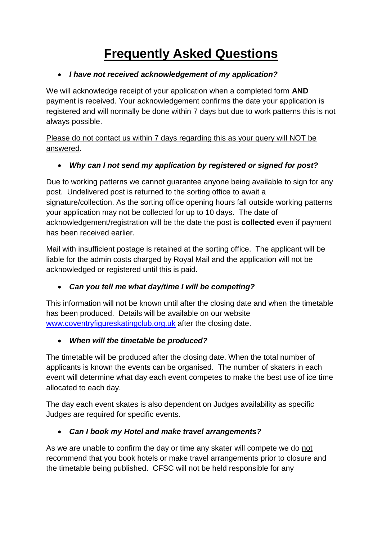# **Frequently Asked Questions**

#### • *I have not received acknowledgement of my application?*

We will acknowledge receipt of your application when a completed form **AND** payment is received. Your acknowledgement confirms the date your application is registered and will normally be done within 7 days but due to work patterns this is not always possible.

Please do not contact us within 7 days regarding this as your query will NOT be answered.

# • *Why can I not send my application by registered or signed for post?*

Due to working patterns we cannot guarantee anyone being available to sign for any post. Undelivered post is returned to the sorting office to await a signature/collection. As the sorting office opening hours fall outside working patterns your application may not be collected for up to 10 days. The date of acknowledgement/registration will be the date the post is **collected** even if payment has been received earlier.

Mail with insufficient postage is retained at the sorting office. The applicant will be liable for the admin costs charged by Royal Mail and the application will not be acknowledged or registered until this is paid.

# • *Can you tell me what day/time I will be competing?*

This information will not be known until after the closing date and when the timetable has been produced. Details will be available on our website [www.coventryfigureskatingclub.org.uk](http://www.coventryfigureskatingclub.org.uk/) after the closing date.

# • *When will the timetable be produced?*

The timetable will be produced after the closing date. When the total number of applicants is known the events can be organised. The number of skaters in each event will determine what day each event competes to make the best use of ice time allocated to each day.

The day each event skates is also dependent on Judges availability as specific Judges are required for specific events.

# • *Can I book my Hotel and make travel arrangements?*

As we are unable to confirm the day or time any skater will compete we do not recommend that you book hotels or make travel arrangements prior to closure and the timetable being published. CFSC will not be held responsible for any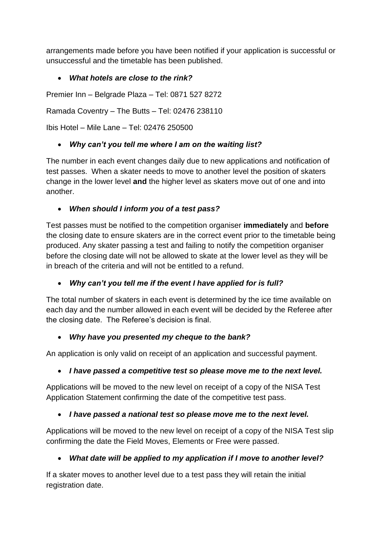arrangements made before you have been notified if your application is successful or unsuccessful and the timetable has been published.

#### • *What hotels are close to the rink?*

Premier Inn – Belgrade Plaza – Tel: 0871 527 8272

Ramada Coventry – The Butts – Tel: 02476 238110

Ibis Hotel – Mile Lane – Tel: 02476 250500

#### • *Why can't you tell me where I am on the waiting list?*

The number in each event changes daily due to new applications and notification of test passes. When a skater needs to move to another level the position of skaters change in the lower level **and** the higher level as skaters move out of one and into another.

#### • *When should I inform you of a test pass?*

Test passes must be notified to the competition organiser **immediately** and **before** the closing date to ensure skaters are in the correct event prior to the timetable being produced. Any skater passing a test and failing to notify the competition organiser before the closing date will not be allowed to skate at the lower level as they will be in breach of the criteria and will not be entitled to a refund.

# • *Why can't you tell me if the event I have applied for is full?*

The total number of skaters in each event is determined by the ice time available on each day and the number allowed in each event will be decided by the Referee after the closing date. The Referee's decision is final.

#### • *Why have you presented my cheque to the bank?*

An application is only valid on receipt of an application and successful payment.

# • *I have passed a competitive test so please move me to the next level.*

Applications will be moved to the new level on receipt of a copy of the NISA Test Application Statement confirming the date of the competitive test pass.

# • *I have passed a national test so please move me to the next level.*

Applications will be moved to the new level on receipt of a copy of the NISA Test slip confirming the date the Field Moves, Elements or Free were passed.

# • *What date will be applied to my application if I move to another level?*

If a skater moves to another level due to a test pass they will retain the initial registration date.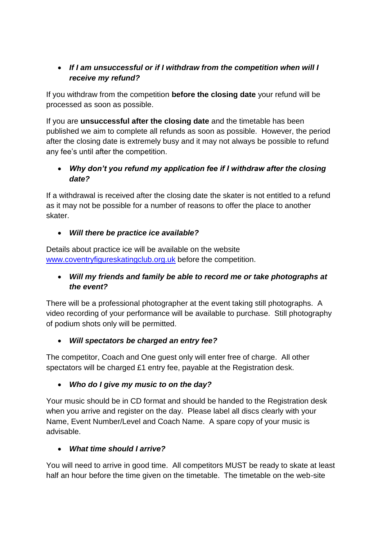#### • *If I am unsuccessful or if I withdraw from the competition when will I receive my refund?*

If you withdraw from the competition **before the closing date** your refund will be processed as soon as possible.

If you are **unsuccessful after the closing date** and the timetable has been published we aim to complete all refunds as soon as possible. However, the period after the closing date is extremely busy and it may not always be possible to refund any fee's until after the competition.

#### • *Why don't you refund my application fee if I withdraw after the closing date?*

If a withdrawal is received after the closing date the skater is not entitled to a refund as it may not be possible for a number of reasons to offer the place to another skater.

#### • *Will there be practice ice available?*

Details about practice ice will be available on the website [www.coventryfigureskatingclub.org.uk](http://www.coventryfigureskatingclub.org.uk/) before the competition.

#### • *Will my friends and family be able to record me or take photographs at the event?*

There will be a professional photographer at the event taking still photographs. A video recording of your performance will be available to purchase. Still photography of podium shots only will be permitted.

# • *Will spectators be charged an entry fee?*

The competitor, Coach and One guest only will enter free of charge. All other spectators will be charged £1 entry fee, payable at the Registration desk.

# • *Who do I give my music to on the day?*

Your music should be in CD format and should be handed to the Registration desk when you arrive and register on the day. Please label all discs clearly with your Name, Event Number/Level and Coach Name. A spare copy of your music is advisable.

# • *What time should I arrive?*

You will need to arrive in good time. All competitors MUST be ready to skate at least half an hour before the time given on the timetable. The timetable on the web-site